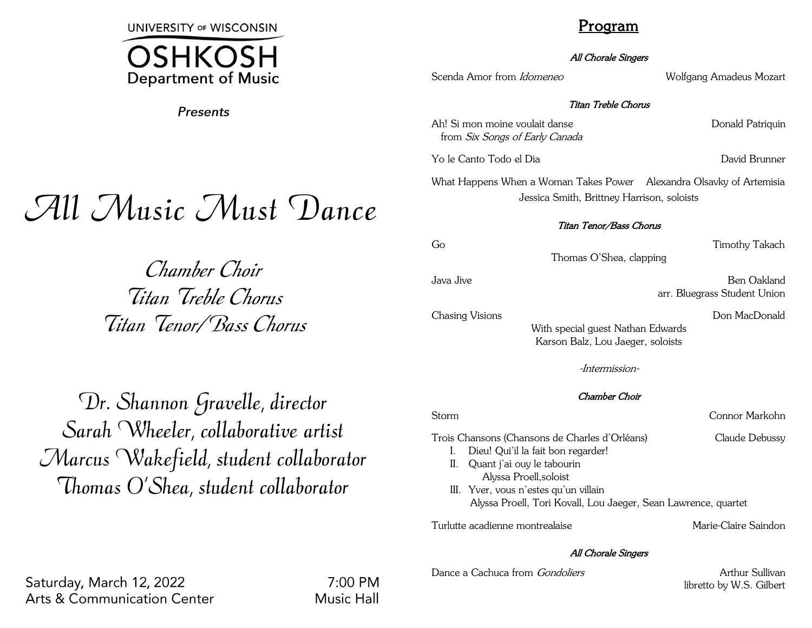**UNIVERSITY OF WISCONSIN** 



**Presents** 

# All Music Must Dance

Chamber Choir Titan Treble Chorus Titan Tenor/Bass Chorus

Dr. Shannon Gravelle, director Sarah Wheeler, collaborative artist Marcus Wakefield, student collaborator Thomas O'Shea, student collaborator

## Program

### All Chorale Singers

Scenda Amor from *Idomeneo* Wolfgang Amadeus Mozart

### Titan Treble Chorus

Ah! Si mon moine voulait danse **Donald Patriquin** from Six Songs of Early Canada

Yo le Canto Todo el Dia David Brunner

What Happens When a Woman Takes Power Alexandra Olsavky of Artemisia Jessica Smith, Brittney Harrison, soloists

### Titan Tenor/Bass Chorus

Go Timothy Takach

Thomas O'Shea, clapping

Java Jive Ben Oakland arr. Bluegrass Student Union

Chasing Visions **Don MacDonald** 

With special guest Nathan Edwards Karson Balz, Lou Jaeger, soloists

-Intermission-

### Chamber Choir

Storm Connor Markohn

- Trois Chansons (Chansons de Charles d'Orléans) Claude Debussy I. Dieu! Qui'il la fait bon regarder!
	- II. Quant j'ai ouy le tabourin Alyssa Proell,soloist
	- III. Yver, vous n'estes qu'un villain Alyssa Proell, Tori Kovall, Lou Jaeger, Sean Lawrence, quartet

Turlutte acadienne montrealaise Marie-Claire Saindon

### All Chorale Singers

Dance a Cachuca from *Gondoliers* Arthur Sullivan

libretto by W.S. Gilbert

Saturday, March 12, 2022 **Arts & Communication Center** 

 $7:00 \text{ PM}$ **Music Hall**